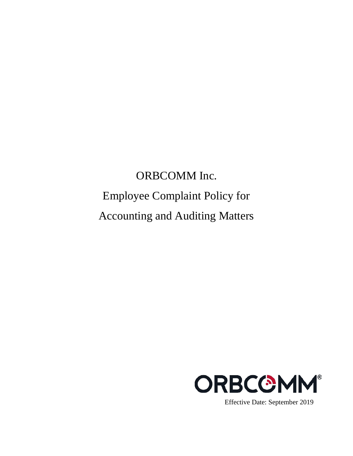# ORBCOMM Inc. Employee Complaint Policy for Accounting and Auditing Matters

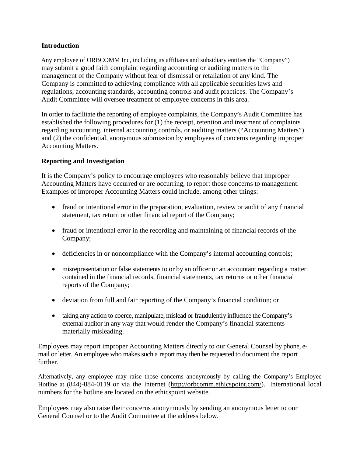# **Introduction**

 Any employee of ORBCOMM Inc, including its affiliates and subsidiary entities the "Company") may submit a good faith complaint regarding accounting or auditing matters to the management of the Company without fear of dismissal or retaliation of any kind. The Company is committed to achieving compliance with all applicable securities laws and regulations, accounting standards, accounting controls and audit practices. The Company's Audit Committee will oversee treatment of employee concerns in this area.

In order to facilitate the reporting of employee complaints, the Company's Audit Committee has established the following procedures for (1) the receipt, retention and treatment of complaints regarding accounting, internal accounting controls, or auditing matters ("Accounting Matters") and (2) the confidential, anonymous submission by employees of concerns regarding improper Accounting Matters.

# **Reporting and Investigation**

It is the Company's policy to encourage employees who reasonably believe that improper Accounting Matters have occurred or are occurring, to report those concerns to management. Examples of improper Accounting Matters could include, among other things:

- fraud or intentional error in the preparation, evaluation, review or audit of any financial statement, tax return or other financial report of the Company;
- fraud or intentional error in the recording and maintaining of financial records of the Company;
- deficiencies in or noncompliance with the Company's internal accounting controls;
- misrepresentation or false statements to or by an officer or an accountant regarding a matter contained in the financial records, financial statements, tax returns or other financial reports of the Company;
- deviation from full and fair reporting of the Company's financial condition; or
- taking any action to coerce, manipulate, mislead or fraudulently influence the Company's external auditor in any way that would render the Company's financial statements materially misleading.

Employees may report improper Accounting Matters directly to our General Counsel by phone, email or letter. An employee who makes such a report may then be requested to document the report further.

Alternatively, any employee may raise those concerns anonymously by calling the Company's Employee Hotline at (844)-884-0119 or via the Internet [\(http://orbcomm.ethicspoint.com/\)](http://orbcomm.ethicspoint.com/). International local numbers for the hotline are located on the ethicspoint website.

Employees may also raise their concerns anonymously by sending an anonymous letter to our General Counsel or to the Audit Committee at the address below.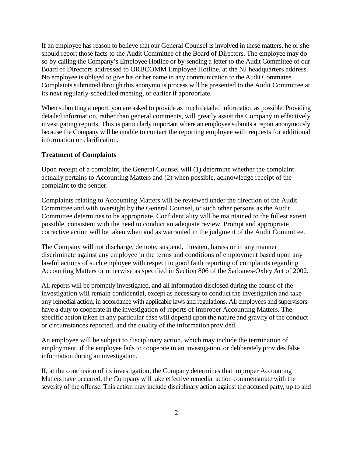If an employee has reason to believe that our General Counsel is involved in these matters, he or she should report those facts to the Audit Committee of the Board of Directors. The employee may do so by calling the Company's Employee Hotline or by sending a letter to the Audit Committee of our Board of Directors addressed to ORBCOMM Employee Hotline, at the NJ headquarters address. No employee is obliged to give his or her name in any communication to the Audit Committee. Complaints submitted through this anonymous process will be presented to the Audit Committee at its next regularly-scheduled meeting, or earlier if appropriate.

When submitting a report, you are asked to provide as much detailed information as possible. Providing detailed information, rather than general comments, will greatly assist the Company in effectively investigating reports. This is particularly important where an employee submits a report anonymously because the Company will be unable to contact the reporting employee with requests for additional information or clarification.

#### **Treatment of Complaints**

Upon receipt of a complaint, the General Counsel will (1) determine whether the complaint actually pertains to Accounting Matters and (2) when possible, acknowledge receipt of the complaint to the sender.

Complaints relating to Accounting Matters will be reviewed under the direction of the Audit Committee and with oversight by the General Counsel, or such other persons as the Audit Committee determines to be appropriate. Confidentiality will be maintained to the fullest extent possible, consistent with the need to conduct an adequate review. Prompt and appropriate corrective action will be taken when and as warranted in the judgment of the Audit Committee.

The Company will not discharge, demote, suspend, threaten, harass or in any manner discriminate against any employee in the terms and conditions of employment based upon any lawful actions of such employee with respect to good faith reporting of complaints regarding Accounting Matters or otherwise as specified in Section 806 of the Sarbanes-Oxley Act of 2002.

All reports will be promptly investigated, and all information disclosed during the course of the investigation will remain confidential, except as necessary to conduct the investigation and take any remedial action, in accordance with applicable laws and regulations. All employees and supervisors have a duty to cooperate in the investigation of reports of improper Accounting Matters. The specific action taken in any particular case will depend upon the nature and gravity of the conduct or circumstances reported, and the quality of the information provided.

An employee will be subject to disciplinary action, which may include the termination of employment, if the employee fails to cooperate in an investigation, or deliberately provides false information during an investigation.

If, at the conclusion of its investigation, the Company determines that improper Accounting Matters have occurred, the Company will take effective remedial action commensurate with the severity of the offense. This action may include disciplinary action against the accused party, up to and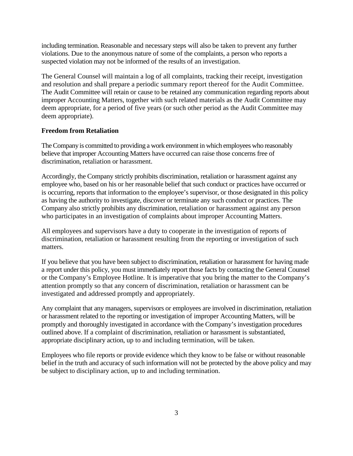including termination. Reasonable and necessary steps will also be taken to prevent any further violations. Due to the anonymous nature of some of the complaints, a person who reports a suspected violation may not be informed of the results of an investigation.

The General Counsel will maintain a log of all complaints, tracking their receipt, investigation and resolution and shall prepare a periodic summary report thereof for the Audit Committee. The Audit Committee will retain or cause to be retained any communication regarding reports about improper Accounting Matters, together with such related materials as the Audit Committee may deem appropriate, for a period of five years (or such other period as the Audit Committee may deem appropriate).

#### **Freedom from Retaliation**

TheCompany is committed to providing a work environment in which employees who reasonably believe that improper Accounting Matters have occurred can raise those concerns free of discrimination, retaliation or harassment.

Accordingly, the Company strictly prohibits discrimination, retaliation or harassment against any employee who, based on his or her reasonable belief that such conduct or practices have occurred or is occurring, reports that information to the employee's supervisor, or those designated in this policy as having the authority to investigate, discover or terminate any such conduct or practices. The Company also strictly prohibits any discrimination, retaliation or harassment against any person who participates in an investigation of complaints about improper Accounting Matters.

All employees and supervisors have a duty to cooperate in the investigation of reports of discrimination, retaliation or harassment resulting from the reporting or investigation of such matters.

If you believe that you have been subject to discrimination, retaliation or harassment for having made a report under this policy, you must immediately report those facts by contacting the General Counsel or the Company's Employee Hotline. It is imperative that you bring the matter to the Company's attention promptly so that any concern of discrimination, retaliation or harassment can be investigated and addressed promptly and appropriately.

Any complaint that any managers, supervisors or employees are involved in discrimination, retaliation or harassment related to the reporting or investigation of improper Accounting Matters, will be promptly and thoroughly investigated in accordance with the Company's investigation procedures outlined above. If a complaint of discrimination, retaliation or harassment is substantiated, appropriate disciplinary action, up to and including termination, will be taken.

Employees who file reports or provide evidence which they know to be false or without reasonable belief in the truth and accuracy of such information will not be protected by the above policy and may be subject to disciplinary action, up to and including termination.